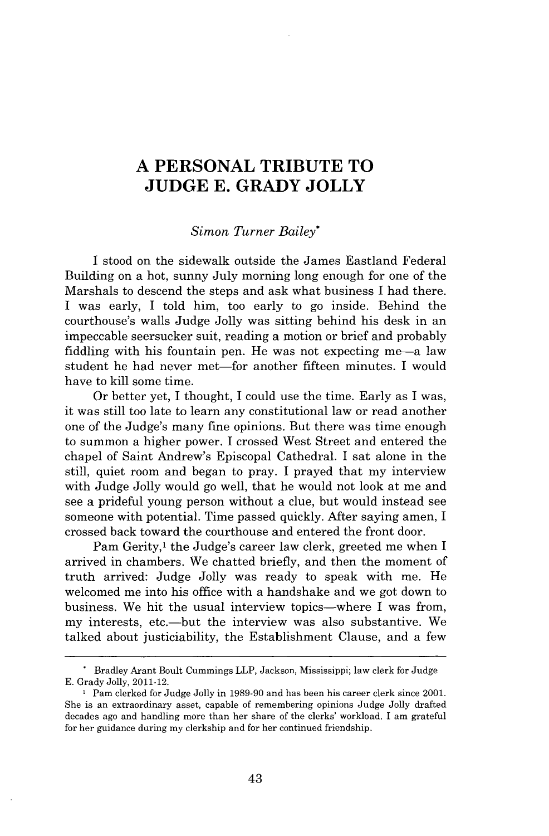## **A PERSONAL TRIBUTE TO JUDGE E. GRADY JOLLY**

## *Simon Turner Bailey\**

I stood on the sidewalk outside the James Eastland Federal Building on a hot, sunny July morning long enough for one of the Marshals to descend the steps and ask what business I had there. I was early, I told him, too early to go inside. Behind the courthouse's walls Judge Jolly was sitting behind his desk in an impeccable seersucker suit, reading a motion or brief and probably fiddling with his fountain pen. He was not expecting me-a law student he had never met-for another fifteen minutes. I would have to kill some time.

Or better yet, I thought, I could use the time. Early as I was, it was still too late to learn any constitutional law or read another one of the Judge's many fine opinions. But there was time enough to summon a higher power. I crossed West Street and entered the chapel of Saint Andrew's Episcopal Cathedral. I sat alone in the still, quiet room and began to pray. I prayed that my interview with Judge Jolly would go well, that he would not look at me and see a prideful young person without a clue, but would instead see someone with potential. Time passed quickly. After saying amen, I crossed back toward the courthouse and entered the front door.

Pam Gerity,<sup>1</sup> the Judge's career law clerk, greeted me when I arrived in chambers. We chatted briefly, and then the moment of truth arrived: Judge Jolly was ready to speak with me. He welcomed me into his office with a handshake and we got down to business. We hit the usual interview topics—where I was from, my interests, etc.—but the interview was also substantive. We talked about justiciability, the Establishment Clause, and a few

**<sup>.</sup>** Bradley Arant Boult Cummings LLP, Jackson, Mississippi; law clerk for Judge E. Grady Jolly, 2011-12.

**<sup>1</sup>** Pam clerked for Judge Jolly in 1989-90 and has been his career clerk since 2001. She is an extraordinary asset, capable of remembering opinions Judge Jolly drafted decades ago and handling more than her share of the clerks' workload. I am grateful for her guidance during my clerkship and for her continued friendship.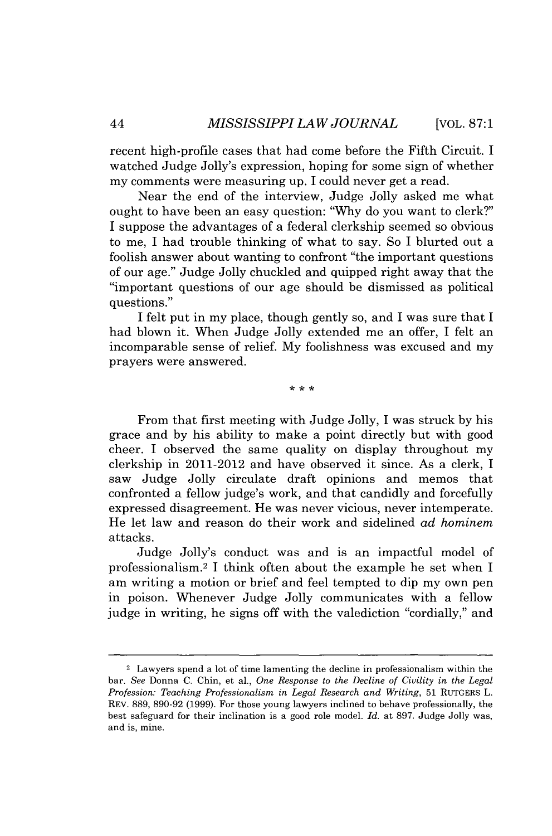recent high-profile cases that had come before the Fifth Circuit. I watched Judge Jolly's expression, hoping for some sign of whether my comments were measuring up. I could never get a read.

Near the end of the interview, Judge Jolly asked me what ought to have been an easy question: "Why do you want to clerk?" I suppose the advantages of a federal clerkship seemed so obvious to me, I had trouble thinking of what to say. So I blurted out a foolish answer about wanting to confront "the important questions of our age." Judge Jolly chuckled and quipped right away that the "important questions of our age should be dismissed as political questions."

I felt put in my place, though gently so, and I was sure that I had blown it. When Judge Jolly extended me an offer, I felt an incomparable sense of relief. My foolishness was excused and my prayers were answered.

 $* * *$ 

From that first meeting with Judge Jolly, I was struck by his grace and by his ability to make a point directly but with good cheer. I observed the same quality on display throughout my clerkship in 2011-2012 and have observed it since. As a clerk, I saw Judge Jolly circulate draft opinions and memos that confronted a fellow judge's work, and that candidly and forcefully expressed disagreement. He was never vicious, never intemperate. He let law and reason do their work and sidelined *ad hominem* attacks.

Judge Jolly's conduct was and is an impactful model of professionalism. <sup>2</sup>I think often about the example he set when I am writing a motion or brief and feel tempted to dip my own pen in poison. Whenever Judge Jolly communicates with a fellow judge in writing, he signs off with the valediction "cordially," and

<sup>&</sup>lt;sup>2</sup> Lawyers spend a lot of time lamenting the decline in professionalism within the bar. *See* Donna C. Chin, et al., *One Response to the Decline of Civility in the Legal Profession: Teaching Professionalism in Legal Research and Writing,* 51 RUTGERS L. REV. 889, 890-92 (1999). For those young lawyers inclined to behave professionally, the best safeguard for their inclination is a good role model. *Id.* at 897. Judge Jolly was, and is, mine.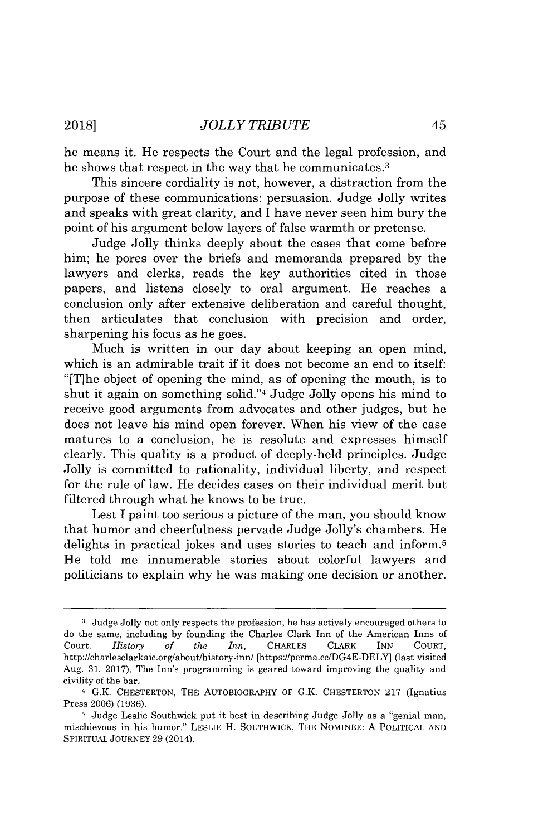he means it. He respects the Court and the legal profession, and he shows that respect in the way that he communicates.<sup>3</sup>

This sincere cordiality is not, however, a distraction from the purpose of these communications: persuasion. Judge Jolly writes and speaks with great clarity, and I have never seen him bury the point of his argument below layers of false warmth or pretense.

Judge Jolly thinks deeply about the cases that come before him; he pores over the briefs and memoranda prepared by the lawyers and clerks, reads the key authorities cited in those papers, and listens closely to oral argument. He reaches a conclusion only after extensive deliberation and careful thought, then articulates that conclusion with precision and order, sharpening his focus as he goes.

Much is written in our day about keeping an open mind, which is an admirable trait if it does not become an end to itself: "[T]he object of opening the mind, as of opening the mouth, is to shut it again on something solid."<sup>4</sup>Judge Jolly opens his mind to receive good arguments from advocates and other judges, but he does not leave his mind open forever. When his view of the case matures to a conclusion, he is resolute and expresses himself clearly. This quality is a product of deeply-held principles. Judge Jolly is committed to rationality, individual liberty, and respect for the rule of law. He decides cases on their individual merit but filtered through what he knows to be true.

Lest I paint too serious a picture of the man, you should know that humor and cheerfulness pervade Judge Jolly's chambers. He delights in practical jokes and uses stories to teach and inform.<sup>5</sup> He told me innumerable stories about colorful lawyers and politicians to explain why he was making one decision or another.

**<sup>3</sup>**Judge Jolly not only respects the profession, he has actively encouraged others to do the same, including by founding the Charles Clark Inn of the American Inns of Court. *History of the Inn,* CHARLES CLARK INN COURT, http://charlesclarkaic.org/about/history-inn/ [https://perma.ccDG4E-DELY] (last visited Aug. 31. 2017). The Inn's programming is geared toward improving the quality and civility of the bar.

<sup>4</sup> G.K. CHESTERTON, THE AUTOBIOGRAPHY OF G.K. CHESTERTON 217 (Ignatius Press 2006) (1936).

<sup>&</sup>lt;sup>5</sup> Judge Leslie Southwick put it best in describing Judge Jolly as a "genial man, mischievous in his humor." LESLIE H. SOUTHWICK, THE NOMINEE: A POLITICAL AND SPIRITUAL JOURNEY 29 (2014).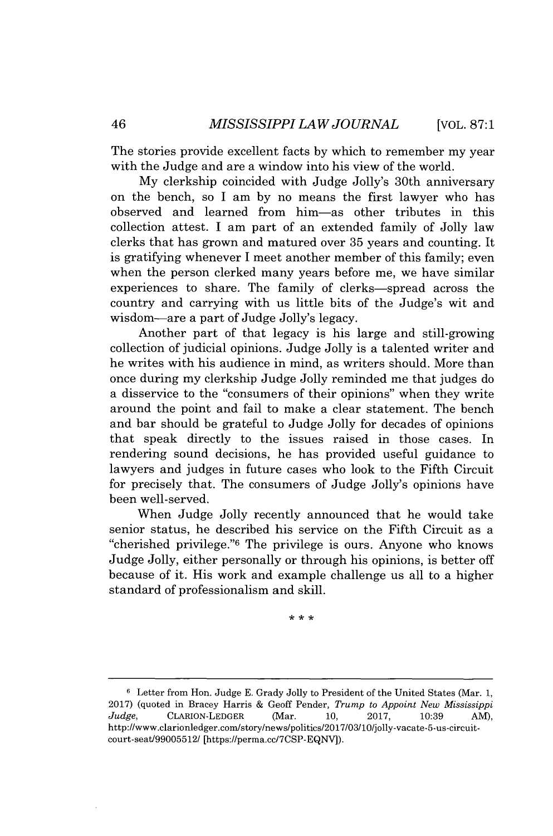The stories provide excellent facts by which to remember my year with the Judge and are a window into his view of the world.

My clerkship coincided with Judge Jolly's 30th anniversary on the bench, so I am by no means the first lawyer who has observed and learned from him-as other tributes in this collection attest. I am part of an extended family of Jolly law clerks that has grown and matured over 35 years and counting. It is gratifying whenever I meet another member of this family; even when the person clerked many years before me, we have similar experiences to share. The family of clerks-spread across the country and carrying with us little bits of the Judge's wit and wisdom-are a part of Judge Jolly's legacy.

Another part of that legacy is his large and still-growing collection of judicial opinions. Judge Jolly is a talented writer and he writes with his audience in mind, as writers should. More than once during my clerkship Judge Jolly reminded me that judges do a disservice to the "consumers of their opinions" when they write around the point and fail to make a clear statement. The bench and bar should be grateful to Judge Jolly for decades of opinions that speak directly to the issues raised in those cases. In rendering sound decisions, he has provided useful guidance to lawyers and judges in future cases who look to the Fifth Circuit for precisely that. The consumers of Judge Jolly's opinions have been well-served.

When Judge Jolly recently announced that he would take senior status, he described his service on the Fifth Circuit as a "cherished privilege."<sup>6</sup> The privilege is ours. Anyone who knows Judge Jolly, either personally or through his opinions, is better off because of it. His work and example challenge us all to a higher standard of professionalism and skill.

 $* * *$ 

**<sup>6</sup>**Letter from Hon. Judge E. Grady Jolly to President of the United States (Mar. 1, 2017) (quoted in Bracey Harris & Geoff Pender, *Trump to Appoint New Mississippi Judge,* CLARION-LEDGER (Mar. 10, 2017, 10:39 AM), http://www.clarionledger.com/story/news/politics/2017/03/10/jolly-vacate-5-us-circuitcourt-seat/99005512/ [https://perma.cc/7CSP-EQNV).